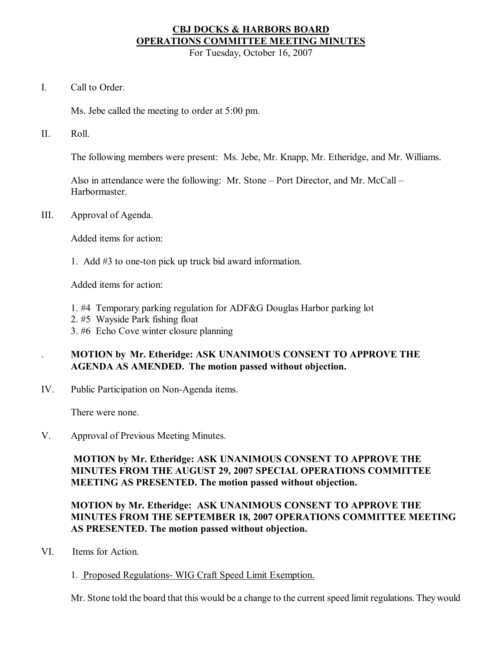# **CBJ DOCKS & HARBORS BOARD OPERATIONS COMMITTEE MEETING MINUTES**

For Tuesday, October 16, 2007

I. Call to Order.

Ms. Jebe called the meeting to order at 5:00 pm.

II. Roll.

The following members were present: Ms. Jebe, Mr. Knapp, Mr. Etheridge, and Mr. Williams.

Also in attendance were the following: Mr. Stone – Port Director, and Mr. McCall – **Harbormaster** 

III. Approval of Agenda.

Added items for action:

1. Add  $#3$  to one-ton pick up truck bid award information.

Added items for action:

- 1. #4 Temporary parking regulation for ADF&G Douglas Harbor parking lot
- 2. #5 Wayside Park fishing float
- 3. #6 Echo Cove winter closure planning

# . **MOTION by Mr. Etheridge: ASK UNANIMOUS CONSENT TO APPROVE THE AGENDA AS AMENDED. The motion passed without objection.**

IV. Public Participation on Non-Agenda items.

There were none.

V. Approval of Previous Meeting Minutes.

**MOTION by Mr. Etheridge: ASK UNANIMOUS CONSENT TO APPROVE THE MINUTES FROM THE AUGUST 29, 2007 SPECIAL OPERATIONS COMMITTEE MEETING AS PRESENTED. The motion passed without objection.**

# **MOTION by Mr. Etheridge: ASK UNANIMOUS CONSENT TO APPROVE THE MINUTES FROM THE SEPTEMBER 18, 2007 OPERATIONS COMMITTEE MEETING AS PRESENTED. The motion passed without objection.**

- VI. Items for Action.
	- 1. Proposed Regulations- WIG Craft Speed Limit Exemption.

Mr. Stone told the board that this would be a change to the current speed limit regulations. Theywould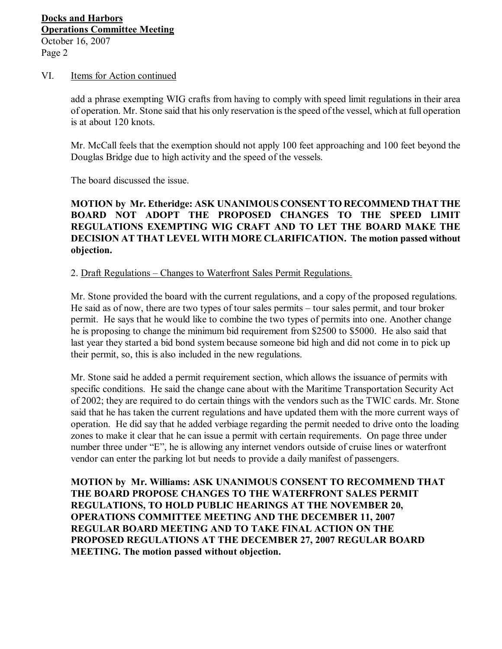#### VI. Items for Action continued

add a phrase exempting WIG crafts from having to comply with speed limit regulations in their area of operation. Mr. Stone said that his only reservation isthe speed of the vessel, which at full operation is at about 120 knots.

Mr. McCall feels that the exemption should not apply 100 feet approaching and 100 feet beyond the Douglas Bridge due to high activity and the speed of the vessels.

The board discussed the issue.

# **MOTION by Mr. Etheridge: ASK UNANIMOUS CONSENTTO RECOMMEND THATTHE BOARD NOT ADOPT THE PROPOSED CHANGES TO THE SPEED LIMIT REGULATIONS EXEMPTING WIG CRAFT AND TO LET THE BOARD MAKE THE DECISION AT THAT LEVEL WITH MORE CLARIFICATION. The motion passed without objection.**

2. Draft Regulations – Changes to Waterfront Sales Permit Regulations.

Mr. Stone provided the board with the current regulations, and a copy of the proposed regulations. He said as of now, there are two types of tour sales permits – tour sales permit, and tour broker permit. He says that he would like to combine the two types of permits into one. Another change he is proposing to change the minimum bid requirement from \$2500 to \$5000. He also said that last year they started a bid bond system because someone bid high and did not come in to pick up their permit, so, this is also included in the new regulations.

Mr. Stone said he added a permit requirement section, which allows the issuance of permits with specific conditions. He said the change cane about with the Maritime Transportation Security Act of 2002; they are required to do certain things with the vendors such as the TWIC cards. Mr. Stone said that he has taken the current regulations and have updated them with the more current ways of operation. He did say that he added verbiage regarding the permit needed to drive onto the loading zones to make it clear that he can issue a permit with certain requirements. On page three under number three under "E", he is allowing any internet vendors outside of cruise lines or waterfront vendor can enter the parking lot but needs to provide a daily manifest of passengers.

**MOTION by Mr. Williams: ASK UNANIMOUS CONSENT TO RECOMMEND THAT THE BOARD PROPOSE CHANGES TO THE WATERFRONT SALES PERMIT REGULATIONS, TO HOLD PUBLIC HEARINGS AT THE NOVEMBER 20, OPERATIONS COMMITTEE MEETING AND THE DECEMBER 11, 2007 REGULAR BOARD MEETING AND TO TAKE FINAL ACTION ON THE PROPOSED REGULATIONS AT THE DECEMBER 27, 2007 REGULAR BOARD MEETING. The motion passed without objection.**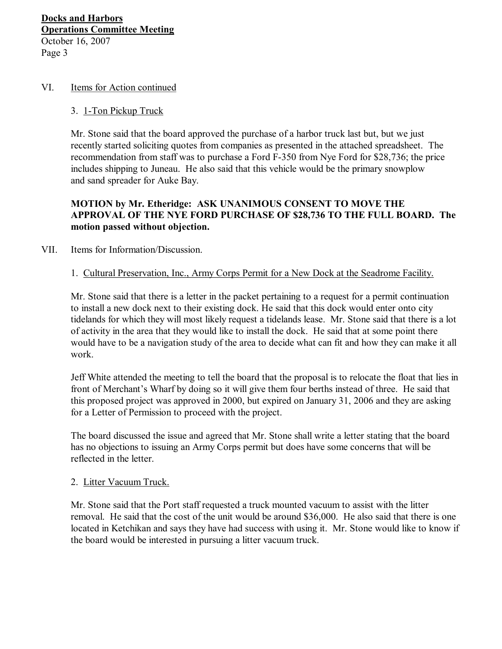#### VI. Items for Action continued

#### 3. 1-Ton Pickup Truck

Mr. Stone said that the board approved the purchase of a harbor truck last but, but we just recently started soliciting quotes from companies as presented in the attached spreadsheet. The recommendation from staff was to purchase a Ford F-350 from Nye Ford for \$28,736; the price includes shipping to Juneau. He also said that this vehicle would be the primary snowplow and sand spreader for Auke Bay.

### **MOTION by Mr. Etheridge: ASK UNANIMOUS CONSENT TO MOVE THE APPROVAL OF THE NYE FORD PURCHASE OF \$28,736 TO THE FULL BOARD. The motion passed without objection.**

### VII. Items for Information/Discussion.

#### 1. Cultural Preservation, Inc., Army Corps Permit for a New Dock at the Seadrome Facility.

Mr. Stone said that there is a letter in the packet pertaining to a request for a permit continuation to install a new dock next to their existing dock. He said that this dock would enter onto city tidelands for which they will most likely request a tidelands lease. Mr. Stone said that there is a lot of activity in the area that they would like to install the dock. He said that at some point there would have to be a navigation study of the area to decide what can fit and how they can make it all work.

Jeff White attended the meeting to tell the board that the proposal is to relocate the float that lies in front of Merchant's Wharf by doing so it will give them four berths instead of three. He said that this proposed project was approved in 2000, but expired on January 31, 2006 and they are asking for a Letter of Permission to proceed with the project.

The board discussed the issue and agreed that Mr. Stone shall write a letter stating that the board has no objections to issuing an Army Corps permit but does have some concerns that will be reflected in the letter.

#### 2. Litter Vacuum Truck.

Mr. Stone said that the Port staff requested a truck mounted vacuum to assist with the litter removal. He said that the cost of the unit would be around \$36,000. He also said that there is one located in Ketchikan and says they have had success with using it. Mr. Stone would like to know if the board would be interested in pursuing a litter vacuum truck.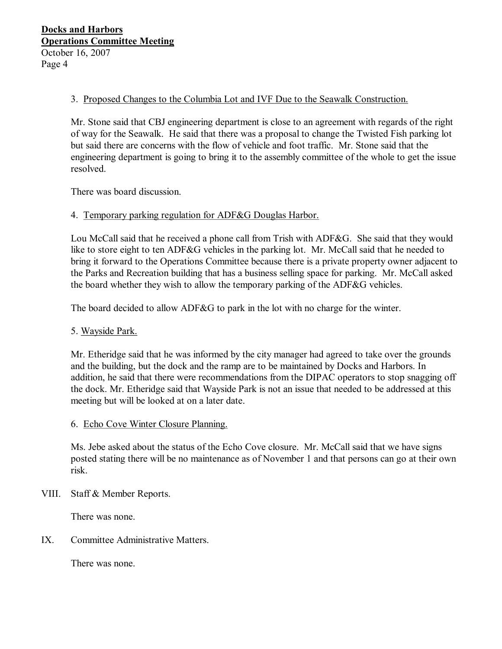# 3. Proposed Changes to the Columbia Lot and IVF Due to the Seawalk Construction.

Mr. Stone said that CBJ engineering department is close to an agreement with regards of the right of way for the Seawalk. He said that there was a proposal to change the Twisted Fish parking lot but said there are concerns with the flow of vehicle and foot traffic. Mr. Stone said that the engineering department is going to bring it to the assembly committee of the whole to get the issue resolved.

There was board discussion.

# 4. Temporary parking regulation for ADF&G Douglas Harbor.

Lou McCall said that he received a phone call from Trish with ADF&G. She said that they would like to store eight to ten ADF&G vehicles in the parking lot. Mr. McCall said that he needed to bring it forward to the Operations Committee because there is a private property owner adjacent to the Parks and Recreation building that has a business selling space for parking. Mr. McCall asked the board whether they wish to allow the temporary parking of the ADF&G vehicles.

The board decided to allow ADF&G to park in the lot with no charge for the winter.

# 5. Wayside Park.

Mr. Etheridge said that he was informed by the city manager had agreed to take over the grounds and the building, but the dock and the ramp are to be maintained by Docks and Harbors. In addition, he said that there were recommendations from the DIPAC operators to stop snagging off the dock. Mr. Etheridge said that Wayside Park is not an issue that needed to be addressed at this meeting but will be looked at on a later date.

# 6. Echo Cove Winter Closure Planning.

Ms. Jebe asked about the status of the Echo Cove closure. Mr. McCall said that we have signs posted stating there will be no maintenance as of November 1 and that persons can go at their own risk.

VIII. Staff & Member Reports.

There was none.

IX. Committee Administrative Matters.

There was none.